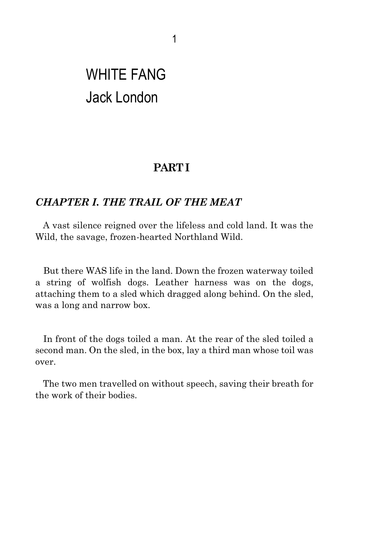## WHITE FANG Jack London

## **PART I**

## *CHAPTER I. THE TRAIL OF THE MEAT*

A vast silence reigned over the lifeless and cold land. It was the Wild, the savage, frozen-hearted Northland Wild.

But there WAS life in the land. Down the frozen waterway toiled a string of wolfish dogs. Leather harness was on the dogs, attaching them to a sled which dragged along behind. On the sled, was a long and narrow box.

In front of the dogs toiled a man. At the rear of the sled toiled a second man. On the sled, in the box, lay a third man whose toil was over.

The two men travelled on without speech, saving their breath for the work of their bodies.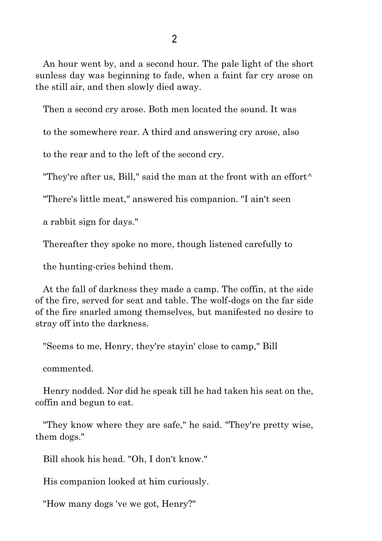An hour went by, and a second hour. The pale light of the short sunless day was beginning to fade, when a faint far cry arose on the still air, and then slowly died away.

Then a second cry arose. Both men located the sound. It was

to the somewhere rear. A third and answering cry arose, also

to the rear and to the left of the second cry.

"They're after us, Bill," said the man at the front with an effort $\wedge$ 

"There's little meat," answered his companion. "I ain't seen

a rabbit sign for days."

Thereafter they spoke no more, though listened carefully to

the hunting-cries behind them.

At the fall of darkness they made a camp. The coffin, at the side of the fire, served for seat and table. The wolf-dogs on the far side of the fire snarled among themselves, but manifested no desire to stray off into the darkness.

"Seems to me, Henry, they're stayin' close to camp," Bill

commented.

Henry nodded. Nor did he speak till he had taken his seat on the, coffin and begun to eat.

"They know where they are safe," he said. "They're pretty wise, them dogs."

Bill shook his head. "Oh, I don't know."

His companion looked at him curiously.

"How many dogs 've we got, Henry?"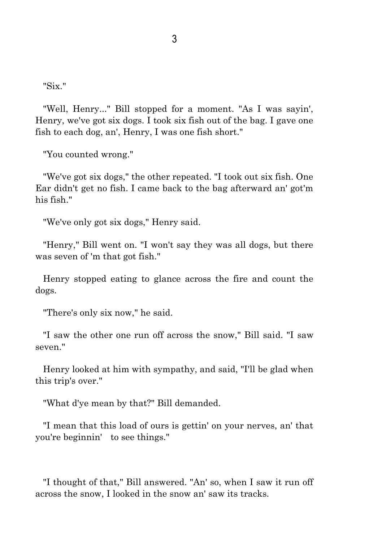"Six."

"Well, Henry..." Bill stopped for a moment. "As I was sayin', Henry, we've got six dogs. I took six fish out of the bag. I gave one fish to each dog, an', Henry, I was one fish short."

"You counted wrong."

"We've got six dogs," the other repeated. "I took out six fish. One Ear didn't get no fish. I came back to the bag afterward an' got'm his fish."

"We've only got six dogs," Henry said.

"Henry," Bill went on. "I won't say they was all dogs, but there was seven of 'm that got fish."

Henry stopped eating to glance across the fire and count the dogs.

"There's only six now," he said.

"I saw the other one run off across the snow," Bill said. "I saw seven."

Henry looked at him with sympathy, and said, "I'll be glad when this trip's over."

"What d'ye mean by that?" Bill demanded.

"I mean that this load of ours is gettin' on your nerves, an' that you're beginnin' to see things."

"I thought of that," Bill answered. "An' so, when I saw it run off across the snow, I looked in the snow an' saw its tracks.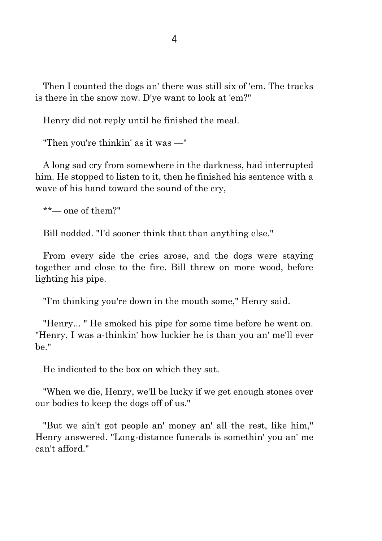Then I counted the dogs an' there was still six of 'em. The tracks is there in the snow now. D'ye want to look at 'em?"

Henry did not reply until he finished the meal.

"Then you're thinkin' as it was —"

A long sad cry from somewhere in the darkness, had interrupted him. He stopped to listen to it, then he finished his sentence with a wave of his hand toward the sound of the cry,

\*\*— one of them?"

Bill nodded. "I'd sooner think that than anything else."

From every side the cries arose, and the dogs were staying together and close to the fire. Bill threw on more wood, before lighting his pipe.

"I'm thinking you're down in the mouth some," Henry said.

"Henry... " He smoked his pipe for some time before he went on. "Henry, I was a-thinkin' how luckier he is than you an' me'll ever be."

He indicated to the box on which they sat.

"When we die, Henry, we'll be lucky if we get enough stones over our bodies to keep the dogs off of us."

"But we ain't got people an' money an' all the rest, like him," Henry answered. "Long-distance funerals is somethin' you an' me can't afford."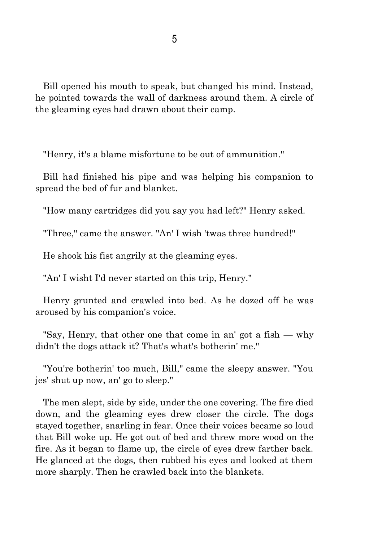Bill opened his mouth to speak, but changed his mind. Instead, he pointed towards the wall of darkness around them. A circle of the gleaming eyes had drawn about their camp.

"Henry, it's a blame misfortune to be out of ammunition."

Bill had finished his pipe and was helping his companion to spread the bed of fur and blanket.

"How many cartridges did you say you had left?" Henry asked.

"Three," came the answer. "An' I wish 'twas three hundred!"

He shook his fist angrily at the gleaming eyes.

"An' I wisht I'd never started on this trip, Henry."

Henry grunted and crawled into bed. As he dozed off he was aroused by his companion's voice.

"Say, Henry, that other one that come in an' got a fish — why didn't the dogs attack it? That's what's botherin' me."

"You're botherin' too much, Bill," came the sleepy answer. "You jes' shut up now, an' go to sleep."

The men slept, side by side, under the one covering. The fire died down, and the gleaming eyes drew closer the circle. The dogs stayed together, snarling in fear. Once their voices became so loud that Bill woke up. He got out of bed and threw more wood on the fire. As it began to flame up, the circle of eyes drew farther back. He glanced at the dogs, then rubbed his eyes and looked at them more sharply. Then he crawled back into the blankets.